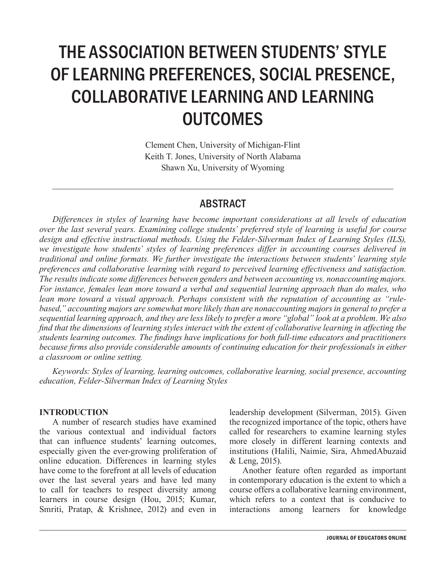# THE ASSOCIATION BETWEEN STUDENTS' STYLE OF LEARNING PREFERENCES, SOCIAL PRESENCE, COLLABORATIVE LEARNING AND LEARNING **OUTCOMES**

Clement Chen, University of Michigan-Flint Keith T. Jones, University of North Alabama Shawn Xu, University of Wyoming

## ABSTRACT

*Differences in styles of learning have become important considerations at all levels of education over the last several years. Examining college students' preferred style of learning is useful for course design and effective instructional methods. Using the Felder-Silverman Index of Learning Styles (ILS), we investigate how students' styles of learning preferences differ in accounting courses delivered in traditional and online formats. We further investigate the interactions between students' learning style preferences and collaborative learning with regard to perceived learning effectiveness and satisfaction. The results indicate some differences between genders and between accounting vs. nonaccounting majors. For instance, females lean more toward a verbal and sequential learning approach than do males, who lean more toward a visual approach. Perhaps consistent with the reputation of accounting as "rulebased," accounting majors are somewhat more likely than are nonaccounting majors in general to prefer a sequential learning approach, and they are less likely to prefer a more "global" look at a problem. We also find that the dimensions of learning styles interact with the extent of collaborative learning in affecting the students learning outcomes. The findings have implications for both full-time educators and practitioners because firms also provide considerable amounts of continuing education for their professionals in either a classroom or online setting.*

*Keywords: Styles of learning, learning outcomes, collaborative learning, social presence, accounting education, Felder-Silverman Index of Learning Styles*

#### **INTRODUCTION**

A number of research studies have examined the various contextual and individual factors that can influence students' learning outcomes, especially given the ever-growing proliferation of online education. Differences in learning styles have come to the forefront at all levels of education over the last several years and have led many to call for teachers to respect diversity among learners in course design (Hou, 2015; Kumar, Smriti, Pratap, & Krishnee, 2012) and even in

leadership development (Silverman, 2015). Given the recognized importance of the topic, others have called for researchers to examine learning styles more closely in different learning contexts and institutions (Halili, Naimie, Sira, AhmedAbuzaid & Leng, 2015).

Another feature often regarded as important in contemporary education is the extent to which a course offers a collaborative learning environment, which refers to a context that is conducive to interactions among learners for knowledge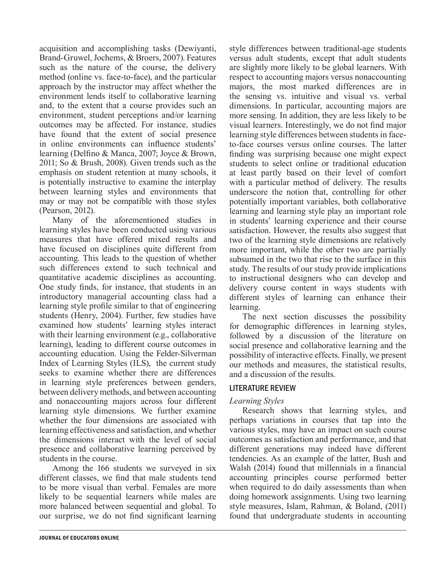acquisition and accomplishing tasks (Dewiyanti, Brand-Gruwel, Jochems, & Broers, 2007). Features such as the nature of the course, the delivery method (online vs. face-to-face), and the particular approach by the instructor may affect whether the environment lends itself to collaborative learning and, to the extent that a course provides such an environment, student perceptions and/or learning outcomes may be affected. For instance, studies have found that the extent of social presence in online environments can influence students' learning (Delfino & Manca, 2007; Joyce & Brown, 2011; So & Brush, 2008). Given trends such as the emphasis on student retention at many schools, it is potentially instructive to examine the interplay between learning styles and environments that may or may not be compatible with those styles (Pearson, 2012).

Many of the aforementioned studies in learning styles have been conducted using various measures that have offered mixed results and have focused on disciplines quite different from accounting. This leads to the question of whether such differences extend to such technical and quantitative academic disciplines as accounting. One study finds, for instance, that students in an introductory managerial accounting class had a learning style profile similar to that of engineering students (Henry, 2004). Further, few studies have examined how students' learning styles interact with their learning environment (e.g., collaborative learning), leading to different course outcomes in accounting education. Using the Felder-Silverman Index of Learning Styles (ILS), the current study seeks to examine whether there are differences in learning style preferences between genders, between delivery methods, and between accounting and nonaccounting majors across four different learning style dimensions. We further examine whether the four dimensions are associated with learning effectiveness and satisfaction, and whether the dimensions interact with the level of social presence and collaborative learning perceived by students in the course.

Among the 166 students we surveyed in six different classes, we find that male students tend to be more visual than verbal. Females are more likely to be sequential learners while males are more balanced between sequential and global. To our surprise, we do not find significant learning style differences between traditional-age students versus adult students, except that adult students are slightly more likely to be global learners. With respect to accounting majors versus nonaccounting majors, the most marked differences are in the sensing vs. intuitive and visual vs. verbal dimensions. In particular, accounting majors are more sensing. In addition, they are less likely to be visual learners. Interestingly, we do not find major learning style differences between students in faceto-face courses versus online courses. The latter finding was surprising because one might expect students to select online or traditional education at least partly based on their level of comfort with a particular method of delivery. The results underscore the notion that, controlling for other potentially important variables, both collaborative learning and learning style play an important role in students' learning experience and their course satisfaction. However, the results also suggest that two of the learning style dimensions are relatively more important, while the other two are partially subsumed in the two that rise to the surface in this study. The results of our study provide implications to instructional designers who can develop and delivery course content in ways students with different styles of learning can enhance their learning.

The next section discusses the possibility for demographic differences in learning styles, followed by a discussion of the literature on social presence and collaborative learning and the possibility of interactive effects. Finally, we present our methods and measures, the statistical results, and a discussion of the results.

#### LITERATURE REVIEW

#### *Learning Styles*

Research shows that learning styles, and perhaps variations in courses that tap into the various styles, may have an impact on such course outcomes as satisfaction and performance, and that different generations may indeed have different tendencies. As an example of the latter, Bush and Walsh (2014) found that millennials in a financial accounting principles course performed better when required to do daily assessments than when doing homework assignments. Using two learning style measures, Islam, Rahman, & Boland, (2011) found that undergraduate students in accounting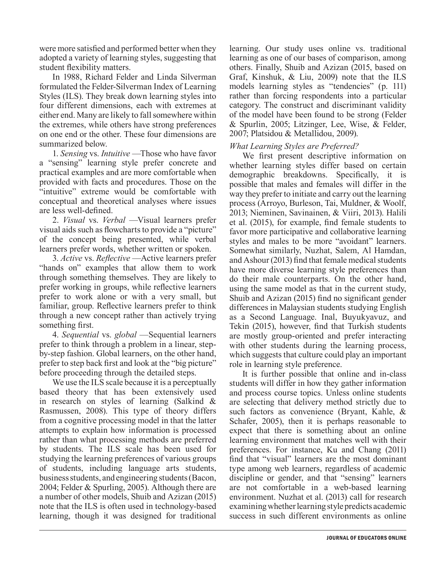were more satisfied and performed better when they adopted a variety of learning styles, suggesting that student flexibility matters.

In 1988, Richard Felder and Linda Silverman formulated the Felder-Silverman Index of Learning Styles (ILS). They break down learning styles into four different dimensions, each with extremes at either end. Many are likely to fall somewhere within the extremes, while others have strong preferences on one end or the other. These four dimensions are summarized below.

1. *Sensing* vs. *Intuitive* —Those who have favor a "sensing" learning style prefer concrete and practical examples and are more comfortable when provided with facts and procedures. Those on the "intuitive" extreme would be comfortable with conceptual and theoretical analyses where issues are less well-defined.

2. *Visual* vs. *Verbal* —Visual learners prefer visual aids such as flowcharts to provide a "picture" of the concept being presented, while verbal learners prefer words, whether written or spoken.

3. *Active* vs. *Reflective* —Active learners prefer "hands on" examples that allow them to work through something themselves. They are likely to prefer working in groups, while reflective learners prefer to work alone or with a very small, but familiar, group. Reflective learners prefer to think through a new concept rather than actively trying something first.

4. *Sequential* vs. *global* —Sequential learners prefer to think through a problem in a linear, stepby-step fashion. Global learners, on the other hand, prefer to step back first and look at the "big picture" before proceeding through the detailed steps.

We use the ILS scale because it is a perceptually based theory that has been extensively used in research on styles of learning (Salkind & Rasmussen, 2008). This type of theory differs from a cognitive processing model in that the latter attempts to explain how information is processed rather than what processing methods are preferred by students. The ILS scale has been used for studying the learning preferences of various groups of students, including language arts students, business students, and engineering students (Bacon, 2004; Felder & Spurling, 2005). Although there are a number of other models, Shuib and Azizan (2015) note that the ILS is often used in technology-based learning, though it was designed for traditional

learning. Our study uses online vs. traditional learning as one of our bases of comparison, among others. Finally, Shuib and Azizan (2015, based on Graf, Kinshuk, & Liu, 2009) note that the ILS models learning styles as "tendencies" (p. 111) rather than forcing respondents into a particular category. The construct and discriminant validity of the model have been found to be strong (Felder & Spurlin, 2005; Litzinger, Lee, Wise, & Felder, 2007; Platsidou & Metallidou, 2009).

#### *What Learning Styles are Preferred?*

We first present descriptive information on whether learning styles differ based on certain demographic breakdowns. Specifically, it is possible that males and females will differ in the way they prefer to initiate and carry out the learning process (Arroyo, Burleson, Tai, Muldner, & Woolf, 2013; Nieminen, Savinainen, & Viiri, 2013). Halili et al. (2015), for example, find female students to favor more participative and collaborative learning styles and males to be more "avoidant" learners. Somewhat similarly, Nuzhat, Salem, Al Hamdan, and Ashour (2013) find that female medical students have more diverse learning style preferences than do their male counterparts. On the other hand, using the same model as that in the current study, Shuib and Azizan (2015) find no significant gender differences in Malaysian students studying English as a Second Language. Inal, Buyukyavuz, and Tekin (2015), however, find that Turkish students are mostly group-oriented and prefer interacting with other students during the learning process, which suggests that culture could play an important role in learning style preference.

It is further possible that online and in-class students will differ in how they gather information and process course topics. Unless online students are selecting that delivery method strictly due to such factors as convenience (Bryant, Kahle, & Schafer, 2005), then it is perhaps reasonable to expect that there is something about an online learning environment that matches well with their preferences. For instance, Ku and Chang (2011) find that "visual" learners are the most dominant type among web learners, regardless of academic discipline or gender, and that "sensing" learners are not comfortable in a web-based learning environment. Nuzhat et al. (2013) call for research examining whether learning style predicts academic success in such different environments as online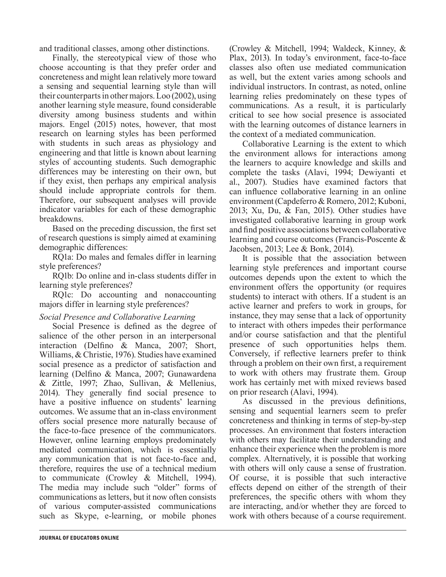and traditional classes, among other distinctions.

Finally, the stereotypical view of those who choose accounting is that they prefer order and concreteness and might lean relatively more toward a sensing and sequential learning style than will their counterparts in other majors. Loo (2002), using another learning style measure, found considerable diversity among business students and within majors. Engel (2015) notes, however, that most research on learning styles has been performed with students in such areas as physiology and engineering and that little is known about learning styles of accounting students. Such demographic differences may be interesting on their own, but if they exist, then perhaps any empirical analysis should include appropriate controls for them. Therefore, our subsequent analyses will provide indicator variables for each of these demographic breakdowns.

Based on the preceding discussion, the first set of research questions is simply aimed at examining demographic differences:

RQ1a: Do males and females differ in learning style preferences?

RQ1b: Do online and in-class students differ in learning style preferences?

RQ1c: Do accounting and nonaccounting majors differ in learning style preferences?

#### *Social Presence and Collaborative Learning*

Social Presence is defined as the degree of salience of the other person in an interpersonal interaction (Delfino & Manca, 2007; Short, Williams, & Christie, 1976). Studies have examined social presence as a predictor of satisfaction and learning (Delfino & Manca, 2007; Gunawardena & Zittle, 1997; Zhao, Sullivan, & Mellenius, 2014). They generally find social presence to have a positive influence on students' learning outcomes. We assume that an in-class environment offers social presence more naturally because of the face-to-face presence of the communicators. However, online learning employs predominately mediated communication, which is essentially any communication that is not face-to-face and, therefore, requires the use of a technical medium to communicate (Crowley & Mitchell, 1994). The media may include such "older" forms of communications as letters, but it now often consists of various computer-assisted communications such as Skype, e-learning, or mobile phones

(Crowley & Mitchell, 1994; Waldeck, Kinney, & Plax, 2013). In today's environment, face-to-face classes also often use mediated communication as well, but the extent varies among schools and individual instructors. In contrast, as noted, online learning relies predominately on these types of communications. As a result, it is particularly critical to see how social presence is associated with the learning outcomes of distance learners in the context of a mediated communication.

Collaborative Learning is the extent to which the environment allows for interactions among the learners to acquire knowledge and skills and complete the tasks (Alavi, 1994; Dewiyanti et al., 2007). Studies have examined factors that can influence collaborative learning in an online environment (Capdeferro & Romero, 2012; Kuboni, 2013; Xu, Du, & Fan, 2015). Other studies have investigated collaborative learning in group work and find positive associations between collaborative learning and course outcomes (Francis-Poscente & Jacobsen, 2013; Lee & Bonk, 2014).

It is possible that the association between learning style preferences and important course outcomes depends upon the extent to which the environment offers the opportunity (or requires students) to interact with others. If a student is an active learner and prefers to work in groups, for instance, they may sense that a lack of opportunity to interact with others impedes their performance and/or course satisfaction and that the plentiful presence of such opportunities helps them. Conversely, if reflective learners prefer to think through a problem on their own first, a requirement to work with others may frustrate them. Group work has certainly met with mixed reviews based on prior research (Alavi, 1994).

As discussed in the previous definitions, sensing and sequential learners seem to prefer concreteness and thinking in terms of step-by-step processes. An environment that fosters interaction with others may facilitate their understanding and enhance their experience when the problem is more complex. Alternatively, it is possible that working with others will only cause a sense of frustration. Of course, it is possible that such interactive effects depend on either of the strength of their preferences, the specific others with whom they are interacting, and/or whether they are forced to work with others because of a course requirement.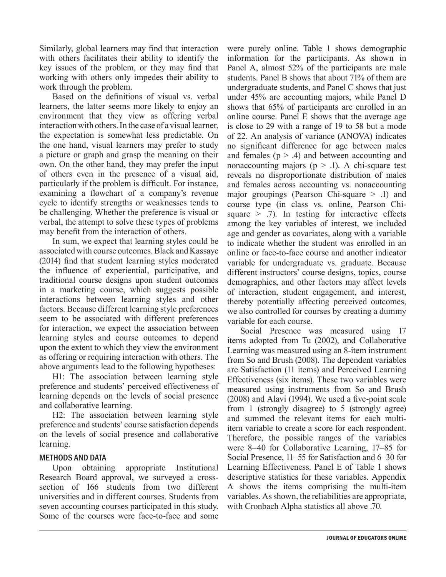Similarly, global learners may find that interaction with others facilitates their ability to identify the key issues of the problem, or they may find that working with others only impedes their ability to work through the problem.

Based on the definitions of visual vs. verbal learners, the latter seems more likely to enjoy an environment that they view as offering verbal interaction with others. In the case of a visual learner, the expectation is somewhat less predictable. On the one hand, visual learners may prefer to study a picture or graph and grasp the meaning on their own. On the other hand, they may prefer the input of others even in the presence of a visual aid, particularly if the problem is difficult. For instance, examining a flowchart of a company's revenue cycle to identify strengths or weaknesses tends to be challenging. Whether the preference is visual or verbal, the attempt to solve these types of problems may benefit from the interaction of others.

In sum, we expect that learning styles could be associated with course outcomes. Black and Kassaye (2014) find that student learning styles moderated the influence of experiential, participative, and traditional course designs upon student outcomes in a marketing course, which suggests possible interactions between learning styles and other factors. Because different learning style preferences seem to be associated with different preferences for interaction, we expect the association between learning styles and course outcomes to depend upon the extent to which they view the environment as offering or requiring interaction with others. The above arguments lead to the following hypotheses:

H1: The association between learning style preference and students' perceived effectiveness of learning depends on the levels of social presence and collaborative learning.

H2: The association between learning style preference and students' course satisfaction depends on the levels of social presence and collaborative learning.

#### METHODS AND DATA

Upon obtaining appropriate Institutional Research Board approval, we surveyed a crosssection of 166 students from two different universities and in different courses. Students from seven accounting courses participated in this study. Some of the courses were face-to-face and some

were purely online. Table 1 shows demographic information for the participants. As shown in Panel A, almost 52% of the participants are male students. Panel B shows that about 71% of them are undergraduate students, and Panel C shows that just under 45% are accounting majors, while Panel D shows that 65% of participants are enrolled in an online course. Panel E shows that the average age is close to 29 with a range of 19 to 58 but a mode of 22. An analysis of variance (ANOVA) indicates no significant difference for age between males and females  $(p > .4)$  and between accounting and nonaccounting majors ( $p > 0.1$ ). A chi-square test reveals no disproportionate distribution of males and females across accounting vs. nonaccounting major groupings (Pearson Chi-square > .1) and course type (in class vs. online, Pearson Chisquare  $>$  .7). In testing for interactive effects among the key variables of interest, we included age and gender as covariates, along with a variable to indicate whether the student was enrolled in an online or face-to-face course and another indicator variable for undergraduate vs. graduate. Because different instructors' course designs, topics, course demographics, and other factors may affect levels of interaction, student engagement, and interest, thereby potentially affecting perceived outcomes, we also controlled for courses by creating a dummy variable for each course.

Social Presence was measured using 17 items adopted from Tu (2002), and Collaborative Learning was measured using an 8-item instrument from So and Brush (2008). The dependent variables are Satisfaction (11 items) and Perceived Learning Effectiveness (six items). These two variables were measured using instruments from So and Brush (2008) and Alavi (1994). We used a five-point scale from 1 (strongly disagree) to 5 (strongly agree) and summed the relevant items for each multiitem variable to create a score for each respondent. Therefore, the possible ranges of the variables were 8–40 for Collaborative Learning, 17–85 for Social Presence, 11–55 for Satisfaction and 6–30 for Learning Effectiveness. Panel E of Table 1 shows descriptive statistics for these variables. Appendix A shows the items comprising the multi-item variables. As shown, the reliabilities are appropriate, with Cronbach Alpha statistics all above .70.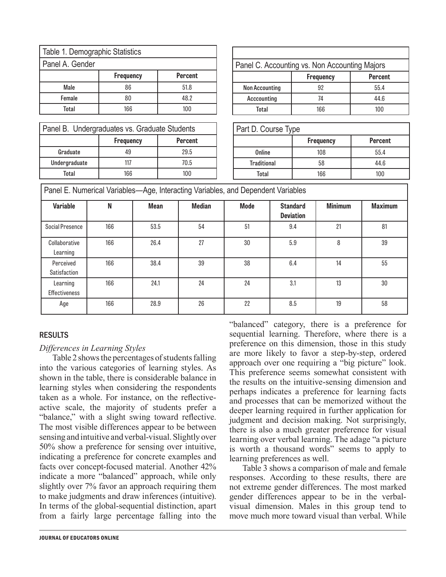| Table 1. Demographic Statistics    |  |  |  |  |  |
|------------------------------------|--|--|--|--|--|
| Panel A. Gender                    |  |  |  |  |  |
| <b>Frequency</b><br><b>Percent</b> |  |  |  |  |  |
| Male<br>86<br>51.8                 |  |  |  |  |  |
| 48.2<br>Female<br>80               |  |  |  |  |  |
| 100<br>Total<br>166                |  |  |  |  |  |

| Panel C. Accounting vs. Non Accounting Majors |                  |                |  |  |  |
|-----------------------------------------------|------------------|----------------|--|--|--|
|                                               | <b>Frequency</b> | <b>Percent</b> |  |  |  |
| <b>Non Accounting</b>                         | 92               | 55.4           |  |  |  |
| Acccounting                                   | 74               | 44.6           |  |  |  |
| Total                                         | 166              | 100            |  |  |  |

| Panel B. Undergraduates vs. Graduate Students |     |      |  |  |  |  |
|-----------------------------------------------|-----|------|--|--|--|--|
| <b>Frequency</b><br><b>Percent</b>            |     |      |  |  |  |  |
| Graduate                                      | 49  | 29.5 |  |  |  |  |
| Undergraduate                                 | 117 | 70.5 |  |  |  |  |
| Total                                         | 166 | 100  |  |  |  |  |

| Part D. Course Type |                  |                |  |  |  |
|---------------------|------------------|----------------|--|--|--|
|                     | <b>Frequency</b> | <b>Percent</b> |  |  |  |
| Online              | 108              | 55.4           |  |  |  |
| <b>Traditional</b>  | 58               | 44.6           |  |  |  |
| Total               | 166              | 100            |  |  |  |

| Panel E. Numerical Variables-Age, Interacting Variables, and Dependent Variables |     |             |               |             |                                     |                |                |
|----------------------------------------------------------------------------------|-----|-------------|---------------|-------------|-------------------------------------|----------------|----------------|
| <b>Variable</b>                                                                  | N   | <b>Mean</b> | <b>Median</b> | <b>Mode</b> | <b>Standard</b><br><b>Deviation</b> | <b>Minimum</b> | <b>Maximum</b> |
| Social Presence                                                                  | 166 | 53.5        | 54            | 51          | 9.4                                 | 21             | 81             |
| Collaborative<br>Learning                                                        | 166 | 26.4        | 27            | 30          | 5.9                                 | 8              | 39             |
| Perceived<br><b>Satisfaction</b>                                                 | 166 | 38.4        | 39            | 38          | 6.4                                 | 14             | 55             |
| Learning<br><b>Effectiveness</b>                                                 | 166 | 24.1        | 24            | 24          | 3.1                                 | 13             | 30             |
| Age                                                                              | 166 | 28.9        | 26            | 22          | 8.5                                 | 19             | 58             |

#### RESULTS

#### *Differences in Learning Styles*

Table 2 shows the percentages of students falling into the various categories of learning styles. As shown in the table, there is considerable balance in learning styles when considering the respondents taken as a whole. For instance, on the reflectiveactive scale, the majority of students prefer a "balance," with a slight swing toward reflective. The most visible differences appear to be between sensing and intuitive and verbal-visual. Slightly over 50% show a preference for sensing over intuitive, indicating a preference for concrete examples and facts over concept-focused material. Another 42% indicate a more "balanced" approach, while only slightly over 7% favor an approach requiring them to make judgments and draw inferences (intuitive). In terms of the global-sequential distinction, apart from a fairly large percentage falling into the

"balanced" category, there is a preference for sequential learning. Therefore, where there is a preference on this dimension, those in this study are more likely to favor a step-by-step, ordered approach over one requiring a "big picture" look. This preference seems somewhat consistent with the results on the intuitive-sensing dimension and perhaps indicates a preference for learning facts and processes that can be memorized without the deeper learning required in further application for judgment and decision making. Not surprisingly, there is also a much greater preference for visual learning over verbal learning. The adage "a picture is worth a thousand words" seems to apply to learning preferences as well.

Table 3 shows a comparison of male and female responses. According to these results, there are not extreme gender differences. The most marked gender differences appear to be in the verbalvisual dimension. Males in this group tend to move much more toward visual than verbal. While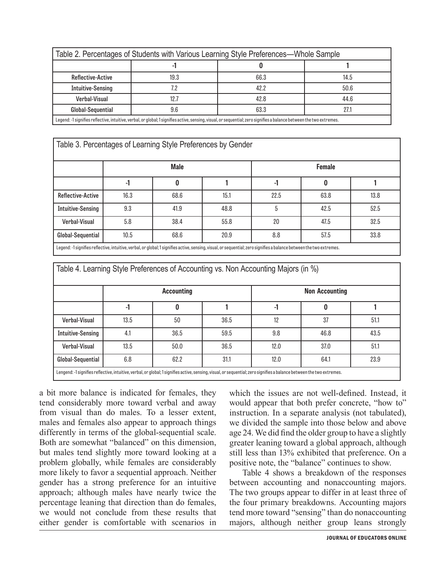| Table 2. Percentages of Students with Various Learning Style Preferences—Whole Sample                                                                                 |      |      |      |  |  |  |
|-----------------------------------------------------------------------------------------------------------------------------------------------------------------------|------|------|------|--|--|--|
|                                                                                                                                                                       |      |      |      |  |  |  |
| Reflective-Active                                                                                                                                                     | 19.3 | 66.3 | 14.5 |  |  |  |
| <b>Intuitive-Sensing</b>                                                                                                                                              | 7.2  | 42.2 | 50.6 |  |  |  |
| 42.8<br>12.7<br>44.6<br>Verbal-Visual                                                                                                                                 |      |      |      |  |  |  |
| 63.3<br>Global-Sequential<br>9.6<br>27.1                                                                                                                              |      |      |      |  |  |  |
| Legend: -1 signifies reflective, intuitive, verbal, or global; 1 signifies active, sensing, visual, or sequential; zero signifies a balance between the two extremes. |      |      |      |  |  |  |

Legend: -1 signifies reflective, intuitive, verbal, or global; 1 signifies active, sensing, visual, or sequential; zero signifies a balance between the two extremes.

| Table 3. Percentages of Learning Style Preferences by Gender                                                                                                          |                              |      |      |      |      |      |  |
|-----------------------------------------------------------------------------------------------------------------------------------------------------------------------|------------------------------|------|------|------|------|------|--|
|                                                                                                                                                                       | <b>Male</b><br><b>Female</b> |      |      |      |      |      |  |
|                                                                                                                                                                       | $-1$                         | 0    |      | $-1$ | 0    |      |  |
| <b>Reflective-Active</b>                                                                                                                                              | 16.3                         | 68.6 | 15.1 | 22.5 | 63.8 | 13.8 |  |
| <b>Intuitive-Sensing</b>                                                                                                                                              | 9.3                          | 41.9 | 48.8 | 5    | 42.5 | 52.5 |  |
| 5.8<br>55.8<br>20<br>32.5<br>38.4<br>47.5<br><b>Verbal-Visual</b>                                                                                                     |                              |      |      |      |      |      |  |
| 57.5<br>33.8<br>10.5<br>20.9<br>8.8<br>Global-Sequential<br>68.6                                                                                                      |                              |      |      |      |      |      |  |
| Legend: -1 signifies reflective, intuitive, verbal, or global; 1 signifies active, sensing, visual, or sequential; zero signifies a balance between the two extremes. |                              |      |      |      |      |      |  |

| Table 4. Learning Style Preferences of Accounting vs. Non Accounting Majors (in %)                                                                           |                                            |      |      |      |      |      |
|--------------------------------------------------------------------------------------------------------------------------------------------------------------|--------------------------------------------|------|------|------|------|------|
|                                                                                                                                                              | <b>Non Accounting</b><br><b>Accounting</b> |      |      |      |      |      |
|                                                                                                                                                              | $-1$                                       | 0    |      |      | 0    |      |
| <b>Verbal-Visual</b>                                                                                                                                         | 13.5                                       | 50   | 36.5 | 12   | 37   | 51.1 |
| <b>Intuitive-Sensing</b>                                                                                                                                     | 4.1                                        | 36.5 | 59.5 | 9.8  | 46.8 | 43.5 |
| <b>Verbal-Visual</b>                                                                                                                                         | 13.5                                       | 50.0 | 36.5 | 12.0 | 37.0 | 51.1 |
| Global-Sequential                                                                                                                                            | 6.8                                        | 62.2 | 31.1 | 12.0 | 64.1 | 23.9 |
| Langand: Jeignifiae raflactiva intuitiva varbal or global: Leignifiae activa cancing vieual or caguantial: zaro cignifiae a balanca batwaan tha two axtramac |                                            |      |      |      |      |      |

Lengend: -1 signifies reflective, intuitive, verbal, or global; 1 signifies active, sensing, visual, or sequential; zero signifies a balance between the two extremes.

a bit more balance is indicated for females, they tend considerably more toward verbal and away from visual than do males. To a lesser extent, males and females also appear to approach things differently in terms of the global-sequential scale. Both are somewhat "balanced" on this dimension, but males tend slightly more toward looking at a problem globally, while females are considerably more likely to favor a sequential approach. Neither gender has a strong preference for an intuitive approach; although males have nearly twice the percentage leaning that direction than do females, we would not conclude from these results that either gender is comfortable with scenarios in which the issues are not well-defined. Instead, it would appear that both prefer concrete, "how to" instruction. In a separate analysis (not tabulated), we divided the sample into those below and above age 24. We did find the older group to have a slightly greater leaning toward a global approach, although still less than 13% exhibited that preference. On a positive note, the "balance" continues to show.

Table 4 shows a breakdown of the responses between accounting and nonaccounting majors. The two groups appear to differ in at least three of the four primary breakdowns. Accounting majors tend more toward "sensing" than do nonaccounting majors, although neither group leans strongly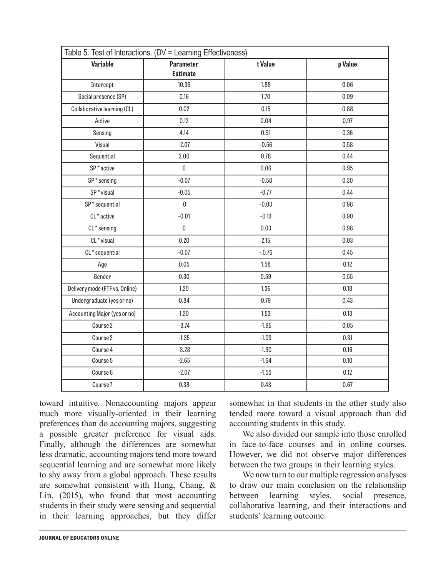| Table 5. Test of Interactions. (DV = Learning Effectiveness) |                  |          |         |  |  |  |
|--------------------------------------------------------------|------------------|----------|---------|--|--|--|
| <b>Variable</b>                                              | <b>Parameter</b> | t Value  | p Value |  |  |  |
|                                                              | <b>Estimate</b>  |          |         |  |  |  |
| Intercept                                                    | 10.36            | 1.88     | 0.06    |  |  |  |
| Social presence (SP)                                         | 0.16             | 1.70     | 0.09    |  |  |  |
| Collaborative learning (CL)                                  | 0.02             | 0.15     | 0.88    |  |  |  |
| Active                                                       | 0.13             | 0.04     | 0.97    |  |  |  |
| Sensing                                                      | 4.14             | 0.91     | 0.36    |  |  |  |
| Visual                                                       | $-2.07$          | $-0.56$  | 0.58    |  |  |  |
| Sequential                                                   | 3.00             | 0.78     | 0.44    |  |  |  |
| SP*active                                                    | $\mathbf 0$      | 0.06     | 0.95    |  |  |  |
| $SP*$ sensing                                                | $-0.07$          | $-0.58$  | 0.30    |  |  |  |
| SP*visual                                                    | $-0.05$          | $-0.77$  | 0.44    |  |  |  |
| SP*sequential                                                | $\pmb{0}$        | $-0.03$  | 0.98    |  |  |  |
| CL*active                                                    | $-0.01$          | $-0.13$  | 0.90    |  |  |  |
| CL*sensing                                                   | $\mathbf 0$      | 0.03     | 0.98    |  |  |  |
| CL * visual                                                  | 0.20             | 2.15     | 0.03    |  |  |  |
| CL*sequential                                                | $-0.07$          | $-.0.76$ | 0.45    |  |  |  |
| Age                                                          | 0.05             | 1.58     | 0.12    |  |  |  |
| Gender                                                       | 0.30             | 0.59     | 0.55    |  |  |  |
| Delivery mode (FTF vs. Online)                               | 1.20             | 1.36     | 0.18    |  |  |  |
| Undergraduate (yes or no)                                    | 0.84             | 0.79     | 0.43    |  |  |  |
| Accounting Major (yes or no)                                 | 1.20             | 1.53     | 0.13    |  |  |  |
| Course <sub>2</sub>                                          | $-3.74$          | $-1.95$  | 0.05    |  |  |  |
| Course 3                                                     | $-1.35$          | $-1.03$  | 0.31    |  |  |  |
| Course 4                                                     | $-3.28$          | $-1.90$  | 0.16    |  |  |  |
| Course 5                                                     | $-2.65$          | $-1.64$  | 0.10    |  |  |  |
| Course 6                                                     | $-2.07$          | $-1.55$  | 0.12    |  |  |  |
| Course <sub>7</sub>                                          | 0.38             | 0.43     | 0.67    |  |  |  |

toward intuitive. Nonaccounting majors appear much more visually-oriented in their learning preferences than do accounting majors, suggesting a possible greater preference for visual aids. Finally, although the differences are somewhat less dramatic, accounting majors tend more toward sequential learning and are somewhat more likely to shy away from a global approach. These results are somewhat consistent with Hung, Chang, & Lin, (2015), who found that most accounting students in their study were sensing and sequential in their learning approaches, but they differ

somewhat in that students in the other study also tended more toward a visual approach than did accounting students in this study.

We also divided our sample into those enrolled in face-to-face courses and in online courses. However, we did not observe major differences between the two groups in their learning styles.

We now turn to our multiple regression analyses to draw our main conclusion on the relationship between learning styles, social presence, collaborative learning, and their interactions and students' learning outcome.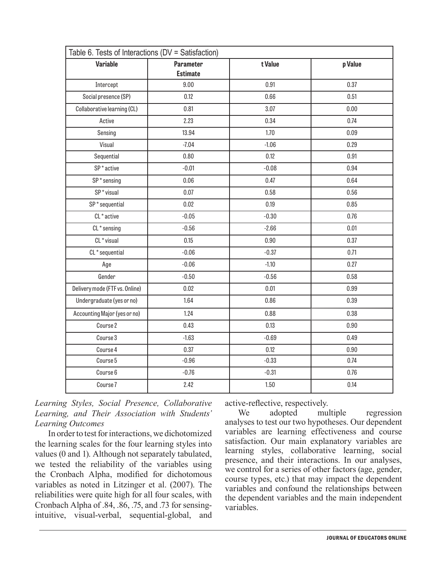| Table 6. Tests of Interactions (DV = Satisfaction) |                                     |         |         |  |  |  |
|----------------------------------------------------|-------------------------------------|---------|---------|--|--|--|
| <b>Variable</b>                                    | <b>Parameter</b><br><b>Estimate</b> | t Value | p Value |  |  |  |
| Intercept                                          | 9.00                                | 0.91    | 0.37    |  |  |  |
| Social presence (SP)                               | 0.12                                | 0.66    | 0.51    |  |  |  |
| Collaborative learning (CL)                        | 0.81                                | 3.07    | 0.00    |  |  |  |
| Active                                             | 2.23                                | 0.34    | 0.74    |  |  |  |
| Sensing                                            | 13.94                               | 1.70    | 0.09    |  |  |  |
| Visual                                             | $-7.04$                             | $-1.06$ | 0.29    |  |  |  |
| Sequential                                         | 0.80                                | 0.12    | 0.91    |  |  |  |
| SP <sup>*</sup> active                             | $-0.01$                             | $-0.08$ | 0.94    |  |  |  |
| $SP*$ sensing                                      | 0.06                                | 0.47    | 0.64    |  |  |  |
| SP*visual                                          | 0.07                                | 0.58    | 0.56    |  |  |  |
| SP*sequential                                      | 0.02                                | 0.19    | 0.85    |  |  |  |
| CL <sup>*</sup> active                             | $-0.05$                             | $-0.30$ | 0.76    |  |  |  |
| $CL *$ sensing                                     | $-0.56$                             | $-2.66$ | 0.01    |  |  |  |
| CL * visual                                        | 0.15                                | 0.90    | 0.37    |  |  |  |
| CL*sequential                                      | $-0.06$                             | $-0.37$ | 0.71    |  |  |  |
| Age                                                | $-0.06$                             | $-1.10$ | 0.27    |  |  |  |
| Gender                                             | $-0.50$                             | $-0.56$ | 0.58    |  |  |  |
| Delivery mode (FTF vs. Online)                     | 0.02                                | 0.01    | 0.99    |  |  |  |
| Undergraduate (yes or no)                          | 1.64                                | 0.86    | 0.39    |  |  |  |
| Accounting Major (yes or no)                       | 1.24                                | 0.88    | 0.38    |  |  |  |
| Course 2                                           | 0.43                                | 0.13    | 0.90    |  |  |  |
| Course 3                                           | $-1.63$                             | $-0.69$ | 0.49    |  |  |  |
| Course 4                                           | 0.37                                | 0.12    | 0.90    |  |  |  |
| Course 5                                           | $-0.96$                             | $-0.33$ | 0.74    |  |  |  |
| Course 6                                           | $-0.76$                             | $-0.31$ | 0.76    |  |  |  |
| Course 7                                           | 2.42                                | 1.50    | 0.14    |  |  |  |

*Learning Styles, Social Presence, Collaborative Learning, and Their Association with Students' Learning Outcomes* 

In order to test for interactions, we dichotomized the learning scales for the four learning styles into values (0 and 1). Although not separately tabulated, we tested the reliability of the variables using the Cronbach Alpha, modified for dichotomous variables as noted in Litzinger et al. (2007). The reliabilities were quite high for all four scales, with Cronbach Alpha of .84, .86, .75, and .73 for sensingintuitive, visual-verbal, sequential-global, and active-reflective, respectively.

We adopted multiple regression analyses to test our two hypotheses. Our dependent variables are learning effectiveness and course satisfaction. Our main explanatory variables are learning styles, collaborative learning, social presence, and their interactions. In our analyses, we control for a series of other factors (age, gender, course types, etc.) that may impact the dependent variables and confound the relationships between the dependent variables and the main independent variables.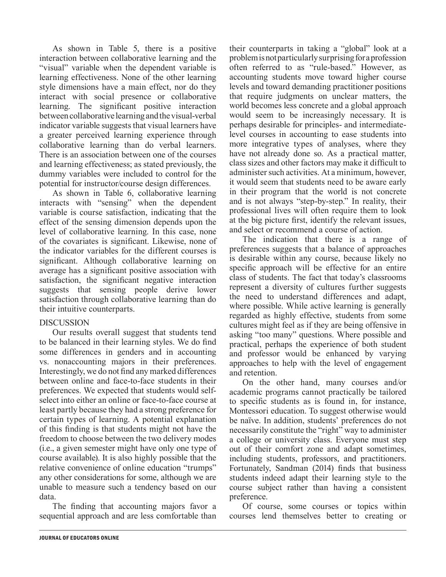As shown in Table 5, there is a positive interaction between collaborative learning and the "visual" variable when the dependent variable is learning effectiveness. None of the other learning style dimensions have a main effect, nor do they interact with social presence or collaborative learning. The significant positive interaction between collaborative learning and the visual-verbal indicator variable suggests that visual learners have a greater perceived learning experience through collaborative learning than do verbal learners. There is an association between one of the courses and learning effectiveness; as stated previously, the dummy variables were included to control for the potential for instructor/course design differences.

As shown in Table 6, collaborative learning interacts with "sensing" when the dependent variable is course satisfaction, indicating that the effect of the sensing dimension depends upon the level of collaborative learning. In this case, none of the covariates is significant. Likewise, none of the indicator variables for the different courses is significant. Although collaborative learning on average has a significant positive association with satisfaction, the significant negative interaction suggests that sensing people derive lower satisfaction through collaborative learning than do their intuitive counterparts.

#### **DISCUSSION**

Our results overall suggest that students tend to be balanced in their learning styles. We do find some differences in genders and in accounting vs. nonaccounting majors in their preferences. Interestingly, we do not find any marked differences between online and face-to-face students in their preferences. We expected that students would selfselect into either an online or face-to-face course at least partly because they had a strong preference for certain types of learning. A potential explanation of this finding is that students might not have the freedom to choose between the two delivery modes (i.e., a given semester might have only one type of course available). It is also highly possible that the relative convenience of online education "trumps" any other considerations for some, although we are unable to measure such a tendency based on our data.

The finding that accounting majors favor a sequential approach and are less comfortable than their counterparts in taking a "global" look at a problem is not particularly surprising for a profession often referred to as "rule-based." However, as accounting students move toward higher course levels and toward demanding practitioner positions that require judgments on unclear matters, the world becomes less concrete and a global approach would seem to be increasingly necessary. It is perhaps desirable for principles- and intermediatelevel courses in accounting to ease students into more integrative types of analyses, where they have not already done so. As a practical matter, class sizes and other factors may make it difficult to administer such activities. At a minimum, however, it would seem that students need to be aware early in their program that the world is not concrete and is not always "step-by-step." In reality, their professional lives will often require them to look at the big picture first, identify the relevant issues, and select or recommend a course of action.

The indication that there is a range of preferences suggests that a balance of approaches is desirable within any course, because likely no specific approach will be effective for an entire class of students. The fact that today's classrooms represent a diversity of cultures further suggests the need to understand differences and adapt, where possible. While active learning is generally regarded as highly effective, students from some cultures might feel as if they are being offensive in asking "too many" questions. Where possible and practical, perhaps the experience of both student and professor would be enhanced by varying approaches to help with the level of engagement and retention.

On the other hand, many courses and/or academic programs cannot practically be tailored to specific students as is found in, for instance, Montessori education. To suggest otherwise would be naïve. In addition, students' preferences do not necessarily constitute the "right" way to administer a college or university class. Everyone must step out of their comfort zone and adapt sometimes, including students, professors, and practitioners. Fortunately, Sandman (2014) finds that business students indeed adapt their learning style to the course subject rather than having a consistent preference.

Of course, some courses or topics within courses lend themselves better to creating or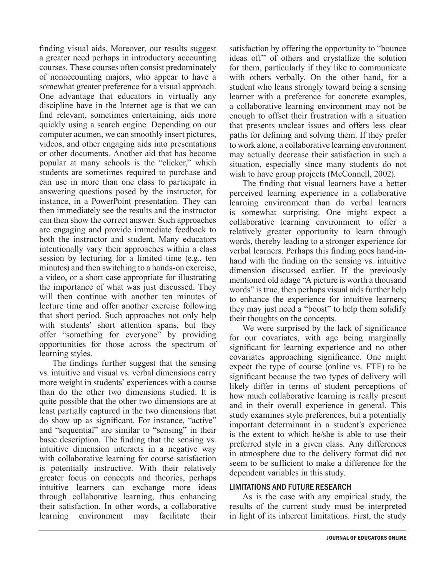finding visual aids. Moreover, our results suggest a greater need perhaps in introductory accounting courses. These courses often consist predominately of nonaccounting majors, who appear to have a somewhat greater preference for a visual approach. One advantage that educators in virtually any discipline have in the Internet age is that we can find relevant, sometimes entertaining, aids more quickly using a search engine. Depending on our computer acumen, we can smoothly insert pictures, videos, and other engaging aids into presentations or other documents. Another aid that has become popular at many schools is the "clicker," which students are sometimes required to purchase and can use in more than one class to participate in answering questions posed by the instructor, for instance, in a PowerPoint presentation. They can then immediately see the results and the instructor can then show the correct answer. Such approaches are engaging and provide immediate feedback to both the instructor and student. Many educators intentionally vary their approaches within a class session by lecturing for a limited time (e.g., ten minutes) and then switching to a hands-on exercise, a video, or a short case appropriate for illustrating the importance of what was just discussed. They will then continue with another ten minutes of lecture time and offer another exercise following that short period. Such approaches not only help with students' short attention spans, but they offer "something for everyone" by providing opportunities for those across the spectrum of learning styles.

The findings further suggest that the sensing vs. intuitive and visual vs. verbal dimensions carry more weight in students' experiences with a course than do the other two dimensions studied. It is quite possible that the other two dimensions are at least partially captured in the two dimensions that do show up as significant. For instance, "active" and "sequential" are similar to "sensing" in their basic description. The finding that the sensing vs. intuitive dimension interacts in a negative way with collaborative learning for course satisfaction is potentially instructive. With their relatively greater focus on concepts and theories, perhaps intuitive learners can exchange more ideas through collaborative learning, thus enhancing their satisfaction. In other words, a collaborative learning environment may facilitate their

satisfaction by offering the opportunity to "bounce ideas off" of others and crystallize the solution for them, particularly if they like to communicate with others verbally. On the other hand, for a student who leans strongly toward being a sensing learner with a preference for concrete examples, a collaborative learning environment may not be enough to offset their frustration with a situation that presents unclear issues and offers less clear paths for defining and solving them. If they prefer to work alone, a collaborative learning environment may actually decrease their satisfaction in such a situation, especially since many students do not wish to have group projects (McConnell, 2002).

The finding that visual learners have a better perceived learning experience in a collaborative learning environment than do verbal learners is somewhat surprising. One might expect a collaborative learning environment to offer a relatively greater opportunity to learn through words, thereby leading to a stronger experience for verbal learners. Perhaps this finding goes hand-inhand with the finding on the sensing vs. intuitive dimension discussed earlier. If the previously mentioned old adage "A picture is worth a thousand words" is true, then perhaps visual aids further help to enhance the experience for intuitive learners; they may just need a "boost" to help them solidify their thoughts on the concepts.

We were surprised by the lack of significance for our covariates, with age being marginally significant for learning experience and no other covariates approaching significance. One might expect the type of course (online vs. FTF) to be significant because the two types of delivery will likely differ in terms of student perceptions of how much collaborative learning is really present and in their overall experience in general. This study examines style preferences, but a potentially important determinant in a student's experience is the extent to which he/she is able to use their preferred style in a given class. Any differences in atmosphere due to the delivery format did not seem to be sufficient to make a difference for the dependent variables in this study.

#### LIMITATIONS AND FUTURE RESEARCH

As is the case with any empirical study, the results of the current study must be interpreted in light of its inherent limitations. First, the study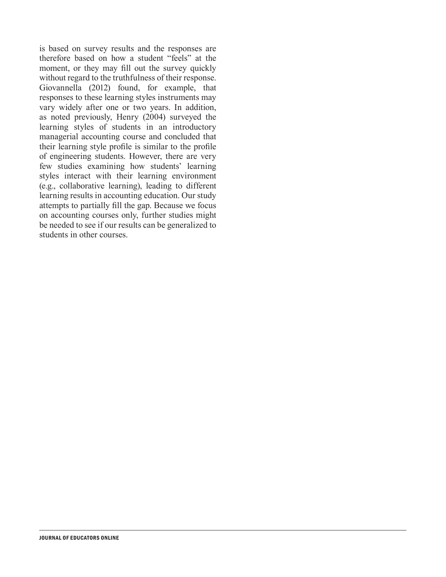is based on survey results and the responses are therefore based on how a student "feels" at the moment, or they may fill out the survey quickly without regard to the truthfulness of their response. Giovannella (2012) found, for example, that responses to these learning styles instruments may vary widely after one or two years. In addition, as noted previously, Henry (2004) surveyed the learning styles of students in an introductory managerial accounting course and concluded that their learning style profile is similar to the profile of engineering students. However, there are very few studies examining how students' learning styles interact with their learning environment (e.g., collaborative learning), leading to different learning results in accounting education. Our study attempts to partially fill the gap. Because we focus on accounting courses only, further studies might be needed to see if our results can be generalized to students in other courses.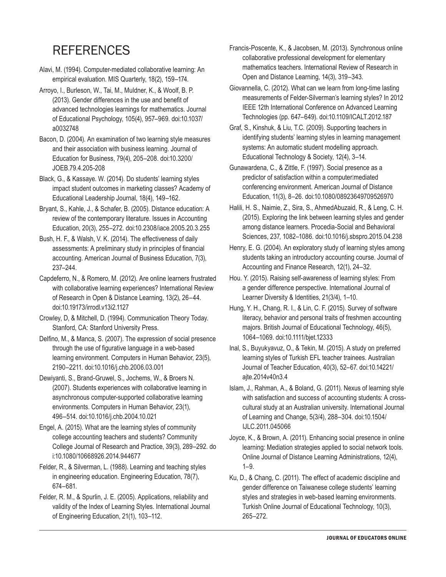# **REFERENCES**

- Alavi, M. (1994). Computer-mediated collaborative learning: An empirical evaluation. MIS Quarterly, 18(2), 159–174.
- Arroyo, I., Burleson, W., Tai, M., Muldner, K., & Woolf, B. P. (2013). Gender differences in the use and benefit of advanced technologies learnings for mathematics. Journal of Educational Psychology, 105(4), 957–969. doi:10.1037/ a0032748
- Bacon, D. (2004). An examination of two learning style measures and their association with business learning. Journal of Education for Business, 79(4), 205–208. doi:10.3200/ JOEB.79.4.205-208
- Black, G., & Kassaye. W. (2014). Do students' learning styles impact student outcomes in marketing classes? Academy of Educational Leadership Journal, 18(4), 149–162.
- Bryant, S., Kahle, J., & Schafer, B. (2005). Distance education: A review of the contemporary literature. Issues in Accounting Education, 20(3), 255–272. doi:10.2308/iace.2005.20.3.255
- Bush, H. F., & Walsh, V. K. (2014). The effectiveness of daily assessments: A preliminary study in principles of financial accounting. American Journal of Business Education, 7(3), 237–244.
- Capdeferro, N., & Romero, M. (2012). Are online learners frustrated with collaborative learning experiences? International Review of Research in Open & Distance Learning, 13(2), 26–44. doi:10.19173/irrodl.v13i2.1127
- Crowley, D, & Mitchell, D. (1994). Communication Theory Today. Stanford, CA: Stanford University Press.
- Delfino, M., & Manca, S. (2007). The expression of social presence through the use of figurative language in a web-based learning environment. Computers in Human Behavior, 23(5), 2190–2211. doi:10.1016/j.chb.2006.03.001
- Dewiyanti, S., Brand-Gruwel, S., Jochems, W., & Broers N. (2007). Students experiences with collaborative learning in asynchronous computer-supported collaborative learning environments. Computers in Human Behavior, 23(1), 496–514. doi:10.1016/j.chb.2004.10.021
- Engel, A. (2015). What are the learning styles of community college accounting teachers and students? Community College Journal of Research and Practice, 39(3), 289–292. do i:10.1080/10668926.2014.944677
- Felder, R., & Silverman, L. (1988). Learning and teaching styles in engineering education. Engineering Education, 78(7), 674–681.
- Felder, R. M., & Spurlin, J. E. (2005). Applications, reliability and validity of the Index of Learning Styles. International Journal of Engineering Education, 21(1), 103–112.
- Francis-Poscente, K., & Jacobsen, M. (2013). Synchronous online collaborative professional development for elementary mathematics teachers. International Review of Research in Open and Distance Learning, 14(3), 319–343.
- Giovannella, C. (2012). What can we learn from long-time lasting measurements of Felder-Silverman's learning styles? In 2012 IEEE 12th International Conference on Advanced Learning Technologies (pp. 647–649). doi:10.1109/ICALT.2012.187
- Graf, S., Kinshuk, & Liu, T.C. (2009). Supporting teachers in identifying students' learning styles in learning management systems: An automatic student modelling approach. Educational Technology & Society, 12(4), 3–14.
- Gunawardena, C., & Zittle, F. (1997). Social presence as a predictor of satisfaction within a computerlimediated conferencing environment. American Journal of Distance Education, 11(3), 8–26. doi:10.1080/08923649709526970
- Halili, H. S., Naimie, Z., Sira, S., AhmedAbuzaid, R., & Leng, C. H. (2015). Exploring the link between learning styles and gender among distance learners. Procedia-Social and Behavioral Sciences, 237, 1082–1086. doi:10.1016/j.sbspro.2015.04.238
- Henry, E. G. (2004). An exploratory study of learning styles among students taking an introductory accounting course. Journal of Accounting and Finance Research, 12(1), 24–32.
- Hou. Y. (2015). Raising self-awareness of learning styles: From a gender difference perspective. International Journal of Learner Diversity & Identities, 21(3/4), 1–10.
- Hung, Y. H., Chang, R. I., & Lin, C. F. (2015). Survey of software literacy, behavior and personal traits of freshmen accounting majors. British Journal of Educational Technology, 46(5), 1064–1069. doi:10.1111/bjet.12333
- Inal, S., Buyukyavuz, O., & Tekin, M. (2015). A study on preferred learning styles of Turkish EFL teacher trainees. Australian Journal of Teacher Education, 40(3), 52–67. doi:10.14221/ ajte.2014v40n3.4
- Islam, J., Rahman, A., & Boland, G. (2011). Nexus of learning style with satisfaction and success of accounting students: A crosscultural study at an Australian university. International Journal of Learning and Change, 5(3/4), 288–304. doi:10.1504/ IJLC.2011.045066
- Joyce, K., & Brown, A. (2011). Enhancing social presence in online learning: Mediation strategies applied to social network tools. Online Journal of Distance Learning Administrations, 12(4),  $1 - 9$ .
- Ku, D., & Chang, C. (2011). The effect of academic discipline and gender difference on Taiwanese college students' learning styles and strategies in web-based learning environments. Turkish Online Journal of Educational Technology, 10(3), 265–272.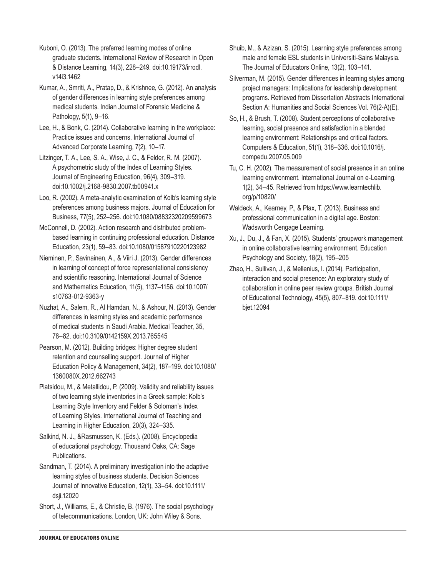Kuboni, O. (2013). The preferred learning modes of online graduate students. International Review of Research in Open & Distance Learning, 14(3), 228–249. doi:10.19173/irrodl. v14i3.1462

Kumar, A., Smriti, A., Pratap, D., & Krishnee, G. (2012). An analysis of gender differences in learning style preferences among medical students. Indian Journal of Forensic Medicine & Pathology, 5(1), 9–16.

Lee, H., & Bonk, C. (2014). Collaborative learning in the workplace: Practice issues and concerns. International Journal of Advanced Corporate Learning, 7(2), 10–17.

Litzinger, T. A., Lee, S. A., Wise, J. C., & Felder, R. M. (2007). A psychometric study of the Index of Learning Styles. Journal of Engineering Education, 96(4), 309–319. doi:10.1002/j.2168-9830.2007.tb00941.x

Loo, R. (2002). A meta-analytic examination of Kolb's learning style preferences among business majors. Journal of Education for Business, 77(5), 252–256. doi:10.1080/08832320209599673

McConnell, D. (2002). Action research and distributed problembased learning in continuing professional education. Distance Education, 23(1), 59–83. doi:10.1080/01587910220123982

Nieminen, P., Savinainen, A., & Viiri J. (2013). Gender differences in learning of concept of force representational consistency and scientific reasoning. International Journal of Science and Mathematics Education, 11(5), 1137–1156. doi:10.1007/ s10763-012-9363-y

Nuzhat, A., Salem, R., Al Hamdan, N., & Ashour, N. (2013). Gender differences in learning styles and academic performance of medical students in Saudi Arabia. Medical Teacher, 35, 78–82. doi:10.3109/0142159X.2013.765545

Pearson, M. (2012). Building bridges: Higher degree student retention and counselling support. Journal of Higher Education Policy & Management, 34(2), 187–199. doi:10.1080/ 1360080X.2012.662743

Platsidou, M., & Metallidou, P. (2009). Validity and reliability issues of two learning style inventories in a Greek sample: Kolb's Learning Style Inventory and Felder & Soloman's Index of Learning Styles. International Journal of Teaching and Learning in Higher Education, 20(3), 324–335.

Salkind, N. J., &Rasmussen, K. (Eds.). (2008). Encyclopedia of educational psychology. Thousand Oaks, CA: Sage Publications.

Sandman, T. (2014). A preliminary investigation into the adaptive learning styles of business students. Decision Sciences Journal of Innovative Education, 12(1), 33–54. doi:10.1111/ dsji.12020

Short, J., Williams, E., & Christie, B. (1976). The social psychology of telecommunications. London, UK: John Wiley & Sons.

Silverman, M. (2015). Gender differences in learning styles among project managers: Implications for leadership development programs. Retrieved from Dissertation Abstracts International Section A: Humanities and Social Sciences Vol. 76(2-A)(E).

So, H., & Brush, T. (2008). Student perceptions of collaborative learning, social presence and satisfaction in a blended learning environment: Relationships and critical factors. Computers & Education, 51(1), 318–336. doi:10.1016/j. compedu.2007.05.009

Tu, C. H. (2002). The measurement of social presence in an online learning environment. International Journal on e-Learning, 1(2), 34–45. Retrieved from https://www.learntechlib. org/p/10820/

Waldeck, A., Kearney, P., & Plax, T. (2013). Business and professional communication in a digital age. Boston: Wadsworth Cengage Learning.

Xu, J., Du, J., & Fan, X. (2015). Students' groupwork management in online collaborative learning environment. Education Psychology and Society, 18(2), 195–205

Zhao, H., Sullivan, J., & Mellenius, I. (2014). Participation, interaction and social presence: An exploratory study of collaboration in online peer review groups. British Journal of Educational Technology, 45(5), 807–819. doi:10.1111/ bjet.12094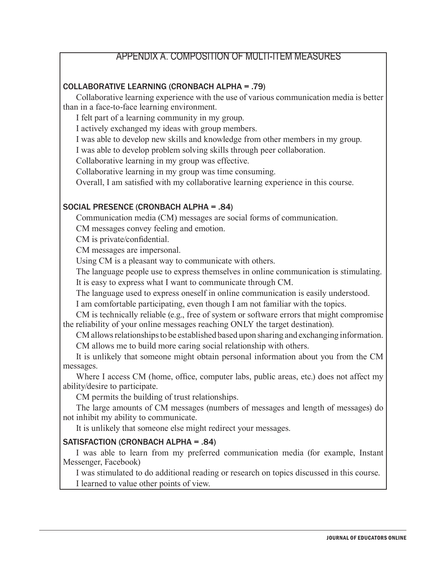### APPENDIX A. COMPOSITION OF MULTI-ITEM MEASURES

#### COLLABORATIVE LEARNING (CRONBACH ALPHA = .79)

Collaborative learning experience with the use of various communication media is better than in a face-to-face learning environment.

I felt part of a learning community in my group.

I actively exchanged my ideas with group members.

I was able to develop new skills and knowledge from other members in my group.

I was able to develop problem solving skills through peer collaboration.

Collaborative learning in my group was effective.

Collaborative learning in my group was time consuming.

Overall, I am satisfied with my collaborative learning experience in this course.

#### SOCIAL PRESENCE (CRONBACH ALPHA = .84)

Communication media (CM) messages are social forms of communication.

CM messages convey feeling and emotion.

CM is private/confidential.

CM messages are impersonal.

Using CM is a pleasant way to communicate with others.

The language people use to express themselves in online communication is stimulating. It is easy to express what I want to communicate through CM.

The language used to express oneself in online communication is easily understood.

I am comfortable participating, even though I am not familiar with the topics.

CM is technically reliable (e.g., free of system or software errors that might compromise the reliability of your online messages reaching ONLY the target destination).

CM allows relationships to be established based upon sharing and exchanging information. CM allows me to build more caring social relationship with others.

It is unlikely that someone might obtain personal information about you from the CM messages.

Where I access CM (home, office, computer labs, public areas, etc.) does not affect my ability/desire to participate.

CM permits the building of trust relationships.

The large amounts of CM messages (numbers of messages and length of messages) do not inhibit my ability to communicate.

It is unlikely that someone else might redirect your messages.

#### SATISFACTION (CRONBACH ALPHA = .84)

I was able to learn from my preferred communication media (for example, Instant Messenger, Facebook)

I was stimulated to do additional reading or research on topics discussed in this course. I learned to value other points of view.